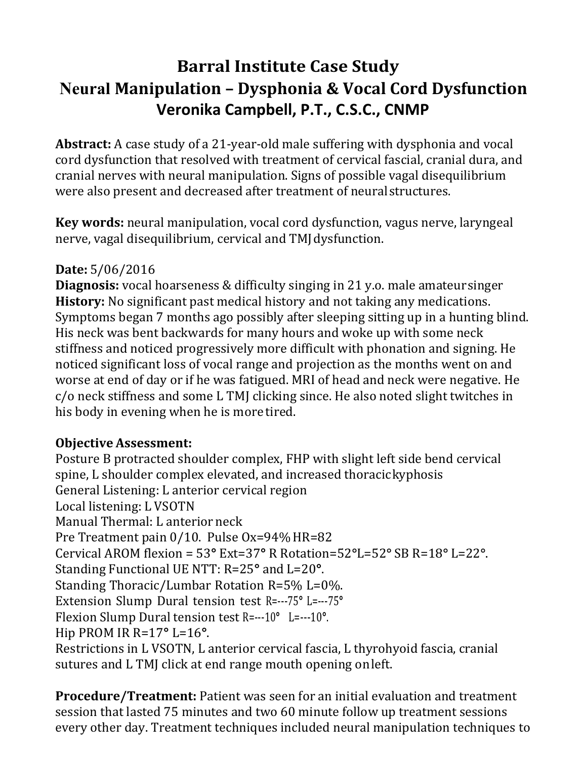# **Barral Institute Case Study Neural Manipulation – Dysphonia & Vocal Cord Dysfunction Veronika Campbell, P.T., C.S.C., CNMP**

**Abstract:** A case study of a 21-year-old male suffering with dysphonia and vocal cord dysfunction that resolved with treatment of cervical fascial, cranial dura, and cranial nerves with neural manipulation. Signs of possible vagal disequilibrium were also present and decreased after treatment of neural structures.

**Key words:** neural manipulation, vocal cord dysfunction, vagus nerve, laryngeal nerve, vagal disequilibrium, cervical and TMJ dysfunction.

## **Date:** 5/06/2016

**Diagnosis:** vocal hoarseness & difficulty singing in 21 y.o. male amateur singer **History:** No significant past medical history and not taking any medications. Symptoms began 7 months ago possibly after sleeping sitting up in a hunting blind. His neck was bent backwards for many hours and woke up with some neck stiffness and noticed progressively more difficult with phonation and signing. He noticed significant loss of vocal range and projection as the months went on and worse at end of day or if he was fatigued. MRI of head and neck were negative. He c/o neck stiffness and some L TMJ clicking since. He also noted slight twitches in his body in evening when he is more tired.

### **Objective Assessment:**

Posture B protracted shoulder complex, FHP with slight left side bend cervical spine, L shoulder complex elevated, and increased thoracic kyphosis General Listening: L anterior cervical region Local listening: L VSOTN Manual Thermal: L anterior neck Pre Treatment pain 0/10. Pulse Ox=94% HR=82 Cervical AROM flexion = 53**°** Ext=37**°** R Rotation=52**°**L=52**°** SB R=18**°** L=22**°**. Standing Functional UE NTT: R=25**°** and L=20**°**. Standing Thoracic/Lumbar Rotation R=5% L=0%. Extension Slump Dural tension test R=---75**°** L=---75**°**  Flexion Slump Dural tension test R=---10**°** L=---10**°**. Hip PROM IR R=17**°** L=16**°**. Restrictions in L VSOTN, L anterior cervical fascia, L thyrohyoid fascia, cranial sutures and L TMJ click at end range mouth opening on left.

**Procedure/Treatment:** Patient was seen for an initial evaluation and treatment session that lasted 75 minutes and two 60 minute follow up treatment sessions every other day. Treatment techniques included neural manipulation techniques to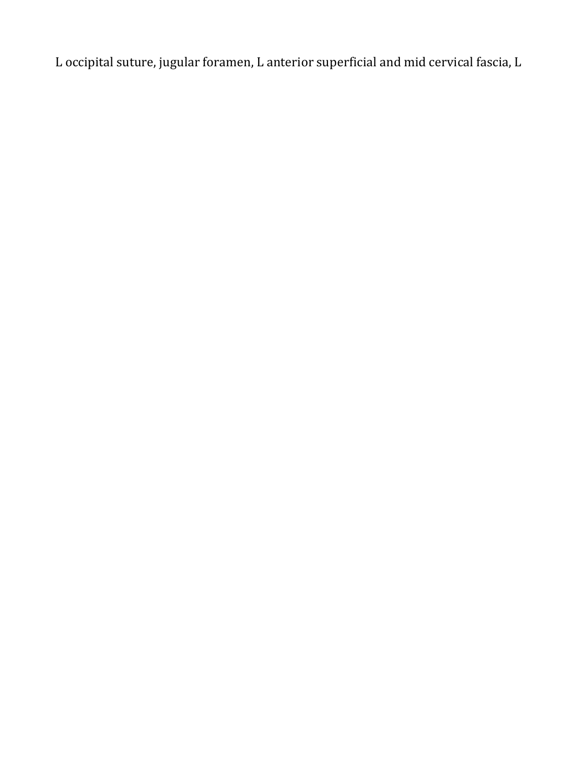L occipital suture, jugular foramen, L anterior superficial and mid cervical fascia, L